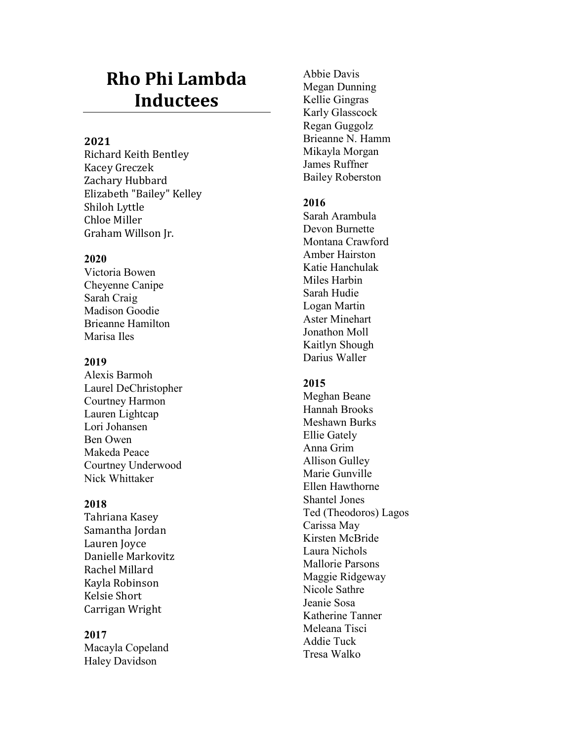# **Rho Phi Lambda Inductees**

# **2021**

Richard Keith Bentley Kacey Greczek Zachary Hubbard Elizabeth "Bailey" Kelley Shiloh Lyttle Chloe Miller Graham Willson Jr.

# **2020**

Victoria Bowen Cheyenne Canipe Sarah Craig Madison Goodie Brieanne Hamilton Marisa Iles

# **2019**

Alexis Barmoh Laurel DeChristopher Courtney Harmon Lauren Lightcap Lori Johansen Ben Owen Makeda Peace Courtney Underwood Nick Whittaker

# **2018**

Tahriana Kasey Samantha Jordan Lauren Joyce Danielle Markovitz Rachel Millard Kayla Robinson Kelsie Short Carrigan Wright

**2017** Macayla Copeland Haley Davidson

Abbie Davis Megan Dunning Kellie Gingras Karly Glasscock Regan Guggolz Brieanne N. Hamm Mikayla Morgan James Ruffner Bailey Roberston

# **2016**

Sarah Arambula Devon Burnette Montana Crawford Amber Hairston Katie Hanchulak Miles Harbin Sarah Hudie Logan Martin Aster Minehart Jonathon Moll Kaitlyn Shough Darius Waller

# **2015**

Meghan Beane Hannah Brooks Meshawn Burks Ellie Gately Anna Grim Allison Gulley Marie Gunville Ellen Hawthorne Shantel Jones Ted (Theodoros) Lagos Carissa May Kirsten McBride Laura Nichols Mallorie Parsons Maggie Ridgeway Nicole Sathre Jeanie Sosa Katherine Tanner Meleana Tisci Addie Tuck Tresa Walko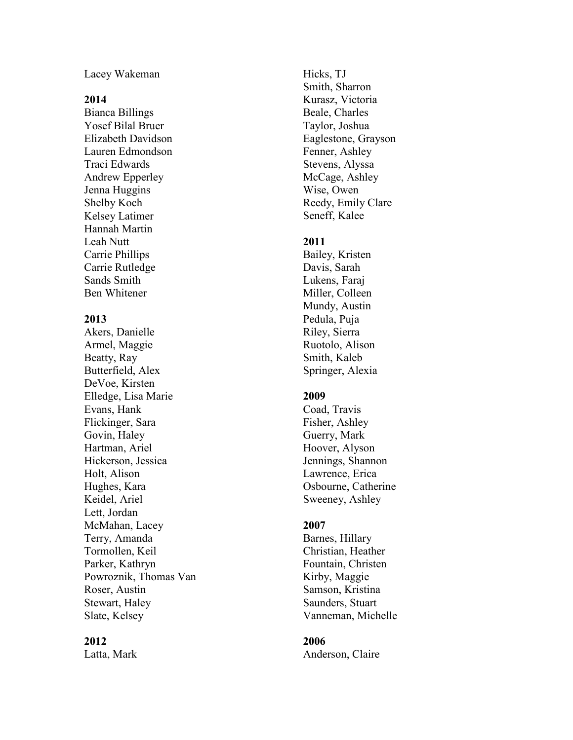Lacey Wakeman

## **2014**

Bianca Billings Yosef Bilal Bruer Elizabeth Davidson Lauren Edmondson Traci Edwards Andrew Epperley Jenna Huggins Shelby Koch Kelsey Latimer Hannah Martin Leah Nutt Carrie Phillips Carrie Rutledge Sands Smith Ben Whitener

## **2013**

Akers, Danielle Armel, Maggie Beatty, Ray Butterfield, Alex DeVoe, Kirsten Elledge, Lisa Marie Evans, Hank Flickinger, Sara Govin, Haley Hartman, Ariel Hickerson, Jessica Holt, Alison Hughes, Kara Keidel, Ariel Lett, Jordan McMahan, Lacey Terry, Amanda Tormollen, Keil Parker, Kathryn Powroznik, Thomas Van Roser, Austin Stewart, Haley Slate, Kelsey

#### **2012**

Latta, Mark

Hicks, TJ Smith, Sharron Kurasz, Victoria Beale, Charles Taylor, Joshua Eaglestone, Grayson Fenner, Ashley Stevens, Alyssa McCage, Ashley Wise, Owen Reedy, Emily Clare Seneff, Kalee

## **2011**

Bailey, Kri sten Davis, Sarah Lukens, Faraj Miller, Colleen Mundy, Austin Pedula, Puja Riley, Sierra Ruotolo, Alison Smith, Kaleb Springer, Alexia

## **2009**

Coad, Travis Fisher, Ashley Guerry, Mark Hoover, Alyson Jennings, Shannon Lawrence, Erica Osbourne, Catherine Sweeney, Ashley

# **2007**

Barnes, Hillary Christian, Heather Fountain, Christen Kirby, Maggie Samson, Kristina Saunders, Stuart Vanneman, Michelle

#### **2006**

Anderson, Claire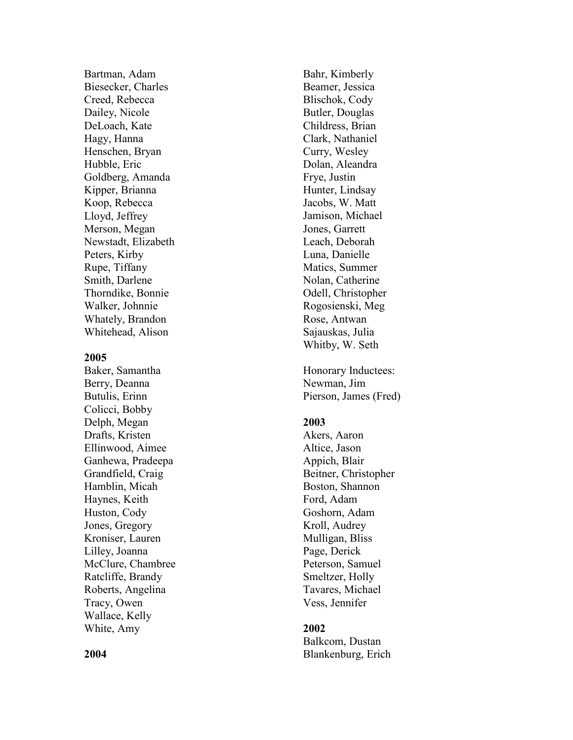Bartman, Adam Biesecker, Charles Creed, Rebecca Dailey, Nicole DeLoach, Kate Hagy, Hanna Henschen, Bryan Hubble, Eric Goldberg, Amanda Kipper, Brianna Koop, Rebecca Lloyd, Jeffrey Merson, Megan Newstadt, Elizabeth Peters, Kirby Rupe, Tiffany Smith, Darlene Thorndike, Bonnie Walker, Johnnie Whately, Brandon Whitehead, Alison

#### **2005**

Baker, Samantha Berry, Deanna Butulis, Erin n Colicci, Bobby Delph, Megan Drafts, Kristen Ellinwood, Aimee Ganhewa, Pradeepa Grandfield, Craig Hamblin, Micah Haynes, Keith Huston, Cody Jones, Gregory Kroniser, Lauren Lilley, Joanna McClure, Chambree Ratcliffe, Brandy Roberts, Angelina Tracy, Owen Wallace, Kelly White, Amy

Bahr, Kimberly Beamer, Jessica Blischok, Cody Butler, Douglas Childress, Brian Clark, Nathaniel Curry, Wesley Dolan, Aleandra Frye, Justin Hunter, Lindsay Jacobs, W. Matt Jamison, Michael Jones, Garrett Leach, Deborah Luna, Danielle Matics, Summer Nolan, Catherine Odell, Christopher Rogosienski, Meg Rose, Antwan Sajauskas, Julia Whitby, W. Seth

Honorary Inductees: Newman, Jim Pierson, James (Fred)

## **2003**

Akers, Aaron Altice, Jason Appich, Blair Beitner, Christopher Boston, Shannon Ford, Adam Goshorn, Adam Kroll, Audrey Mulligan, Bliss Page, Derick Peterson, Samuel Smeltzer, Holly Tavares, Michael Vess, Jennifer

# **2002**

Balkcom, Dustan Blankenburg, Erich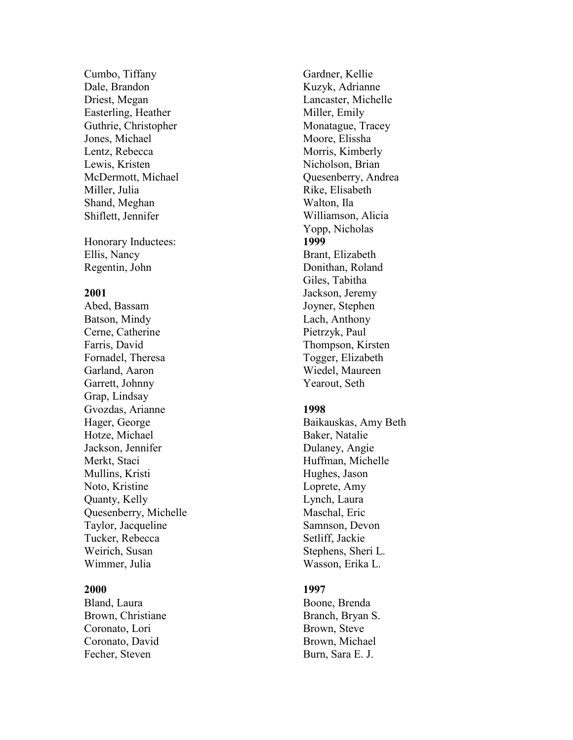Cumbo, Tiffany Dale, Brandon Driest, Megan Easterling, Heather Guthrie, Christopher Jones, Michael Lentz, Rebecca Lewis, Kristen McDermott, Michael Miller, Julia Shand, Meghan Shiflett, Jennifer

Honorary Inductees: Ellis, Nancy Regentin, John

## **2001**

Abed, Bassam Batson, Mindy Cerne, Catherine Farris, David Fornadel, Theresa Garland, Aaron Garrett, Johnny Grap, Lindsay Gvozdas, Arianne Hager, George Hotze, Michael Jackson, Jennifer Merkt, Staci Mullins, Kristi Noto, Kristine Quanty, Kelly Quesenberry, Michelle Taylor, Jacqueline Tucker, Rebecca Weirich, Susan Wimmer, Julia

#### **2000**

Bland, Laura Brown, Christiane Coronato, Lori Coronato, David Fecher, Steven

Gardner, Kellie Kuzyk, Adrianne Lancaster, Michelle Miller, Emily Monatague, Tracey Moore, Elissha Morris, Kimberly Nicholson, Brian Quesenberry, Andrea Rike, Elisabeth Walton, Ila Williamson, Alicia Yopp, Nicholas **1999** Brant, Elizabeth Donithan, Roland Giles, Tabitha Jackson, Jeremy Joyner, Stephen Lach, Anthony Pietrzyk, Paul Thompson, Kirsten Togger, Elizabeth Wiedel, Maureen Yearout, Seth

## **1998**

Baikauskas, Amy Beth Baker, Natalie Dulaney, Angie Huffman, Michelle Hughes, Jason Loprete, Amy Lynch, Laura Maschal, Eric Samnson, Devon Setliff, Jackie Stephens, Sheri L. Wasson, Erika L.

## **1997**

Boone, Brenda Branch, Bryan S. Brown, Steve Brown, Michael Burn, Sara E. J.